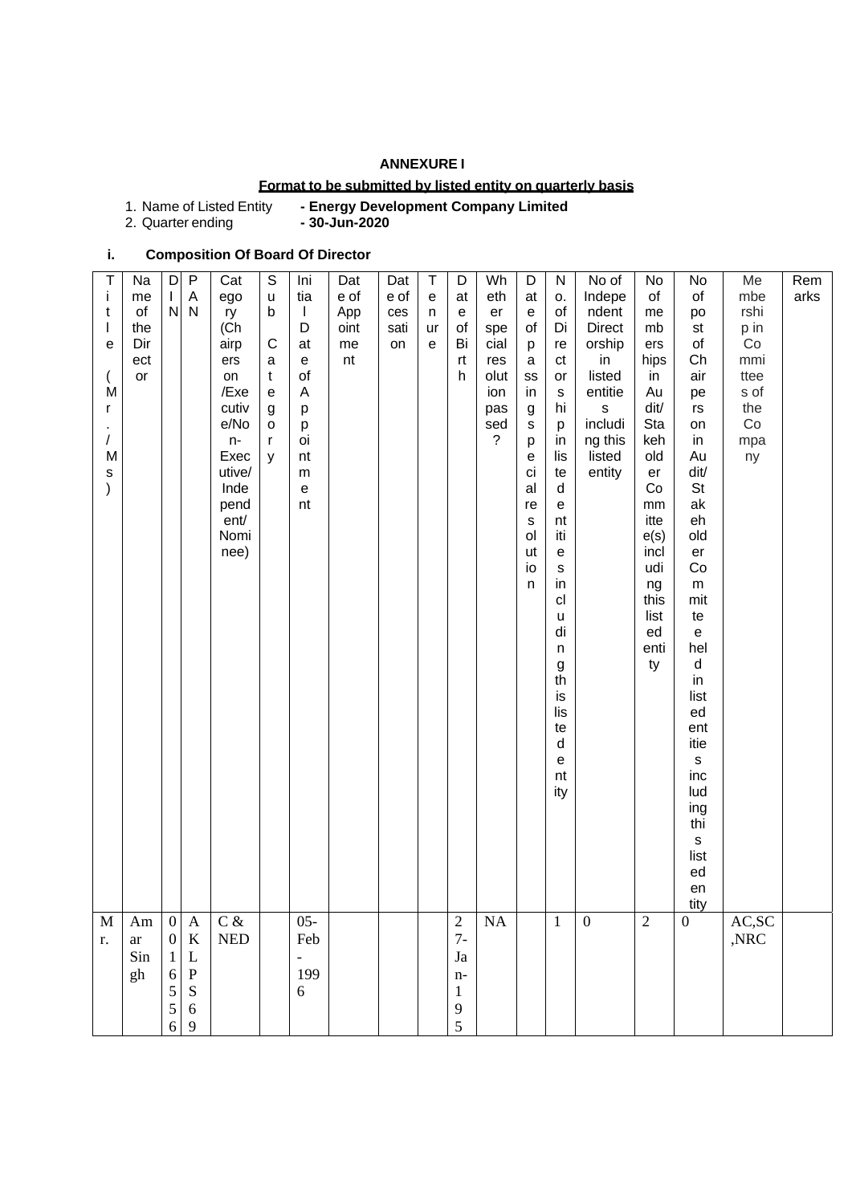## **ANNEXURE I**

### **Format to be submitted by listed entity on quarterly basis**

| - Energy Development Company Limited<br>1. Name of Listed Entity |
|------------------------------------------------------------------|
|------------------------------------------------------------------|

2. Quarter ending **- 30-Jun-2020**

# **i. Composition Of Board Of Director**

| M<br>Am<br>ar<br>r.<br>Sin<br>gh                                         | Τ<br>Na<br>i<br>me<br>of<br>t<br>the<br>ı<br>Dir<br>$\mathbf e$<br>ect<br>or<br>M<br>r<br>$\prime$<br>M<br>$\mathsf{s}$<br>$\mathcal{E}$                                                                                                                                                                                                  |
|--------------------------------------------------------------------------|-------------------------------------------------------------------------------------------------------------------------------------------------------------------------------------------------------------------------------------------------------------------------------------------------------------------------------------------|
| $\boldsymbol{0}$<br>$\boldsymbol{0}$<br>$\mathbf{1}$<br>6<br>5<br>5<br>6 | D<br>L<br>${\sf N}$                                                                                                                                                                                                                                                                                                                       |
| A<br>$\bf K$<br>$\mathbf{L}$<br>$\mathbf P$<br>${\bf S}$<br>6<br>9       | P<br>A<br>$\mathsf{N}$                                                                                                                                                                                                                                                                                                                    |
| $C\,\&$<br>$\ensuremath{\mathsf{NED}}$                                   | Cat<br>ego<br>ry<br>(Ch<br>airp<br>ers<br>on<br>/Exe<br>cutiv<br>e/No<br>$n-$<br>Exec<br>utive/<br>Inde<br>pend<br>ent/<br>Nomi<br>nee)                                                                                                                                                                                                   |
|                                                                          | $\mathbb S$<br>$\sf u$<br>$\mathsf b$<br>$\mathbf C$<br>$\mathsf a$<br>$\mathbf t$<br>$\mathsf e$<br>g<br>o<br>$\mathsf{r}$<br>y                                                                                                                                                                                                          |
| $05 -$<br>Feb<br>199<br>6                                                | Ini<br>tia<br>$\mathbf{I}$<br>D<br>at<br>${\bf e}$<br>of<br>Α<br>p<br>p<br>oi<br>nt<br>m<br>$\mathsf{e}% _{t}\left( t\right)$<br>nt                                                                                                                                                                                                       |
|                                                                          | Dat<br>e of<br>App<br>oint<br>me<br>nt                                                                                                                                                                                                                                                                                                    |
|                                                                          | Dat<br>e of<br>ces<br>sati<br>on                                                                                                                                                                                                                                                                                                          |
|                                                                          | Τ<br>$\mathsf{e}% _{0}\left( \mathsf{e}\right)$<br>n<br>ur<br>$\mathsf e$                                                                                                                                                                                                                                                                 |
| $\sqrt{2}$<br>$7-$<br>Ja<br>$n-$<br>$\mathbf{1}$<br>9<br>5               | D<br>at<br>${\bf e}$<br>of<br>Bi<br>rt<br>h                                                                                                                                                                                                                                                                                               |
| NA                                                                       | Wh<br>eth<br>er<br>spe<br>cial<br>res<br>olut<br>ion<br>pas<br>sed<br>?                                                                                                                                                                                                                                                                   |
|                                                                          | D<br>at<br>${\bf e}$<br>of<br>p<br>$\mathbf a$<br>SS<br>in<br>$\boldsymbol{g}$<br>s<br>p<br>$\mathbf e$<br>ci<br>al<br>re<br>$\mathsf{s}$<br>ol<br>ut<br>io<br>$\mathsf{n}$                                                                                                                                                               |
| $\mathbf{1}$                                                             | N<br>о.<br>of<br>Di<br>re<br>ct<br>or<br>s<br>hi<br>р<br>in<br>lis<br>te<br>d<br>$\mathbf e$<br>nt<br>iti<br>$\mathbf{e}% _{t}\left( \mathbf{1}_{t}\right)$<br>s<br>in<br>cl<br>u<br>di<br>n<br>$\boldsymbol{g}$<br>th<br>is<br>lis<br>te<br>d<br>е<br>nt<br>ity                                                                          |
| $\boldsymbol{0}$                                                         | No of<br>Indepe<br>ndent<br><b>Direct</b><br>orship<br>in<br>listed<br>entitie<br>$\sf s$<br>includi<br>ng this<br>listed<br>entity                                                                                                                                                                                                       |
| $\overline{2}$                                                           | No<br>of<br>me<br>mb<br>ers<br>hips<br>in<br>Au<br>dit/<br>Sta<br>keh<br>old<br>er<br>Co<br>mm<br>itte<br>e(s)<br>incl<br>udi<br>ng<br>this<br>list<br>ed<br>enti<br>ty                                                                                                                                                                   |
| $\boldsymbol{0}$                                                         | No<br>of<br>po<br>st<br>of<br>Ch<br>air<br>pe<br>$\mathsf{rs}$<br>on<br>in<br>Au<br>dit/<br>St<br>ak<br>eh<br>old<br>er<br>Co<br>${\sf m}$<br>mit<br>te<br>$\mathsf{e}% _{t}\left( t\right)$<br>hel<br>$\sf d$<br>in<br>list<br>ed<br>ent<br>itie<br>$\mathsf{s}$<br>inc<br>lud<br>ing<br>thi<br>$\mathsf{s}$<br>list<br>ed<br>en<br>tity |
| AC, SC<br>,NRC                                                           | Me<br>mbe<br>rshi<br>p in<br>Co<br>mmi<br>ttee<br>s of<br>the<br>Co<br>mpa<br>ny                                                                                                                                                                                                                                                          |
|                                                                          | Rem<br>arks                                                                                                                                                                                                                                                                                                                               |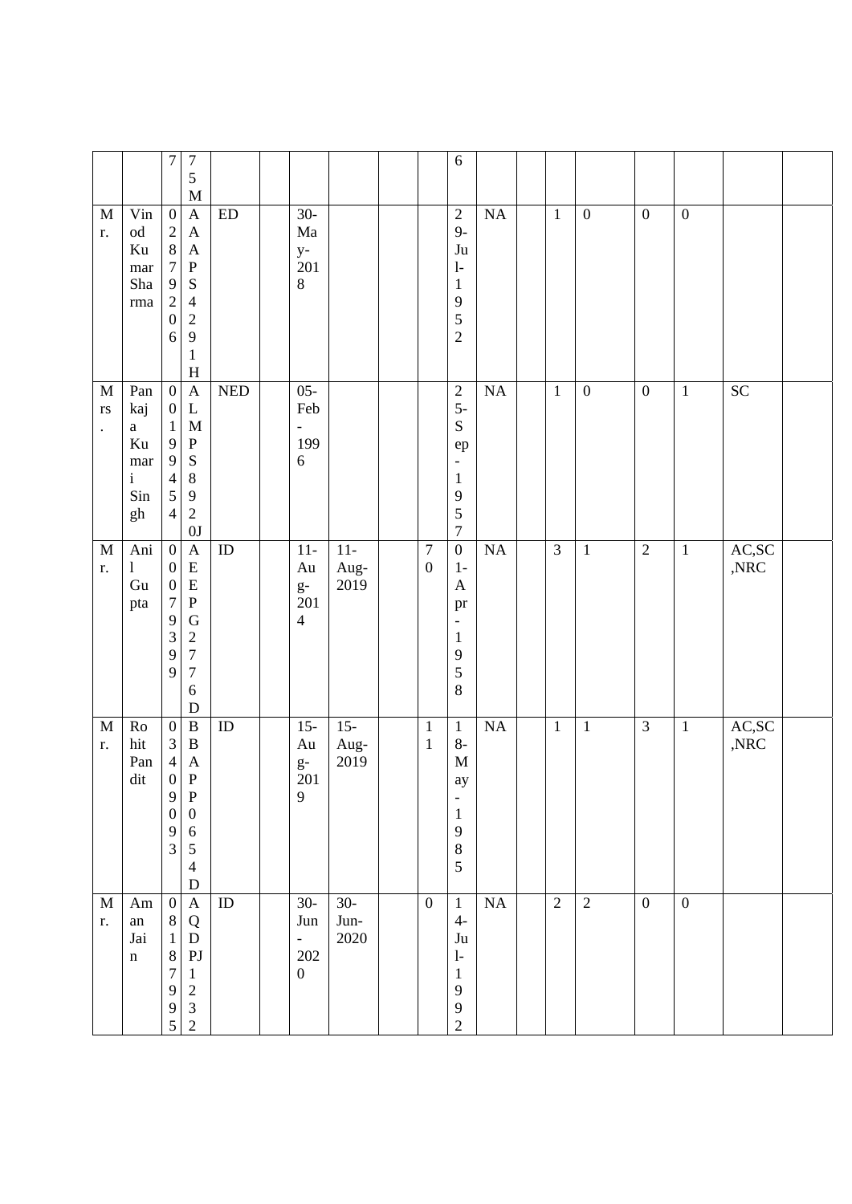|                                                     |                                                                      | $\tau$                                                                                                                                | $\boldsymbol{7}$<br>5<br>$\mathbf{M}$                                                                                                            |            |                                                                            |                           |                                      | $\sqrt{6}$                                                                                                          |                 |                |                  |                  |                  |                                               |  |
|-----------------------------------------------------|----------------------------------------------------------------------|---------------------------------------------------------------------------------------------------------------------------------------|--------------------------------------------------------------------------------------------------------------------------------------------------|------------|----------------------------------------------------------------------------|---------------------------|--------------------------------------|---------------------------------------------------------------------------------------------------------------------|-----------------|----------------|------------------|------------------|------------------|-----------------------------------------------|--|
| M<br>r.                                             | Vin<br>$\operatorname{od}$<br>Ku<br>mar<br>Sha<br>$\rm{rma}$         | $\boldsymbol{0}$<br>$\sqrt{2}$<br>$8\,$<br>$\boldsymbol{7}$<br>$\mathbf{9}$<br>$\sqrt{2}$<br>$\boldsymbol{0}$<br>6                    | $\mathbf{A}$<br>$\mathbf{A}$<br>$\mathbf{A}$<br>${\bf P}$<br>S<br>$\overline{4}$<br>$\sqrt{2}$<br>9<br>$\,1$<br>H                                | ${\rm ED}$ | $30-$<br>Ma<br>$y-$<br>201<br>$8\,$                                        |                           |                                      | $\sqrt{2}$<br>$9-$<br>Ju<br>$\mathbf{l}$<br>$\mathbf{1}$<br>9<br>5<br>$\overline{2}$                                | <b>NA</b>       | $\mathbf{1}$   | $\boldsymbol{0}$ | $\boldsymbol{0}$ | $\boldsymbol{0}$ |                                               |  |
| M<br>$\mathbf{r}\mathbf{s}$<br>$\ddot{\phantom{0}}$ | Pan<br>kaj<br>$\mathbf{a}$<br>Ku<br>mar<br>$\mathbf{i}$<br>Sin<br>gh | $\boldsymbol{0}$<br>$\boldsymbol{0}$<br>$\mathbf{1}$<br>9<br>9<br>$\overline{4}$<br>$\mathfrak{S}$<br>$\overline{4}$                  | $\mathbf{A}$<br>$\mathbf L$<br>M<br>${\bf P}$<br>${\bf S}$<br>$\,8\,$<br>9<br>$\sqrt{2}$<br>0J                                                   | <b>NED</b> | $05 -$<br>Feb<br>$\overline{\phantom{a}}$<br>199<br>6                      |                           |                                      | $\overline{c}$<br>$5-$<br>${\bf S}$<br>ep<br>$\overline{\phantom{a}}$<br>$\mathbf{1}$<br>9<br>5<br>$\boldsymbol{7}$ | $\overline{NA}$ | $\mathbf{1}$   | $\boldsymbol{0}$ | $\boldsymbol{0}$ | $\mathbf{1}$     | SC                                            |  |
| M<br>r.                                             | $An\bar{i}$<br>1<br>Gu<br>pta                                        | $\boldsymbol{0}$<br>$\boldsymbol{0}$<br>$\boldsymbol{0}$<br>$\tau$<br>$\mathbf{9}$<br>$\mathfrak{Z}$<br>$\mathbf{9}$<br>9             | $\mathbf{A}$<br>${\bf E}$<br>${\bf E}$<br>${\bf P}$<br>G<br>$\sqrt{2}$<br>$\boldsymbol{7}$<br>$\boldsymbol{7}$<br>6<br>$\mathbf D$               | $\rm ID$   | $11-$<br>Au<br>$g\hbox{-}$<br>201<br>$\overline{4}$                        | $11-$<br>Aug-<br>2019     | $\boldsymbol{7}$<br>$\boldsymbol{0}$ | $\boldsymbol{0}$<br>$1-$<br>$\mathbf{A}$<br>pr<br>$\overline{\phantom{a}}$<br>$\mathbf{1}$<br>9<br>5<br>8           | <b>NA</b>       | 3              | $\mathbf{1}$     | $\overline{2}$   | $\mathbf{1}$     | AC,SC<br>$,\!{\rm NRC}$                       |  |
| $\mathbf M$<br>r.                                   | Ro<br>hit<br>Pan<br>dit                                              | $\boldsymbol{0}$<br>$\mathfrak{Z}$<br>$\overline{4}$<br>$\boldsymbol{0}$<br>9<br>$\boldsymbol{0}$<br>$\overline{9}$<br>$\overline{3}$ | $\, {\bf B}$<br>$\, {\bf B}$<br>A<br>$\, {\bf P}$<br>$\mathbf{P}$<br>$\boldsymbol{0}$<br>$\sqrt{6}$<br>$\sqrt{5}$<br>$\overline{4}$<br>${\bf D}$ | ID         | $15 -$<br>Au<br>$g-$<br>201<br>9                                           | $15 -$<br>Aug-<br>2019    | $\mathbf{1}$<br>$\mathbf{1}$         | $\mathbf{1}$<br>$8-$<br>$\mathbf M$<br>ay<br>$\overline{\phantom{a}}$<br>$\mathbf{1}$<br>9<br>$\,$ 8 $\,$<br>5      | $\overline{NA}$ | $\mathbf{1}$   | $1\,$            | $\overline{3}$   | $1\,$            | $\mathsf{AC},\!\mathsf{SC}$<br>$,\!{\rm NRC}$ |  |
| M<br>r.                                             | Am<br>${\rm an}$<br>Jai<br>$\mathbf n$                               | $\boldsymbol{0}$<br>$8\,$<br>$\mathbf{1}$<br>$8\,$<br>$\boldsymbol{7}$<br>$\overline{9}$<br>$\mathbf{9}$<br>5                         | $\mathbf A$<br>${\bf Q}$<br>${\bf D}$<br>$\mathop{\rm PJ}$<br>$\mathbf{1}$<br>$\begin{array}{c} 2 \\ 3 \\ 2 \end{array}$                         | ID         | $30-$<br>$_{\rm Jun}$<br>$\overline{\phantom{a}}$<br>202<br>$\overline{0}$ | $30-$<br>Jun-<br>$2020\,$ | $\boldsymbol{0}$                     | $\mathbf{1}$<br>$4-$<br>$\mathrm{J}\mathrm{u}$<br>$\mathbf{l}$<br>$\mathbf{1}$<br>9<br>9<br>$\overline{2}$          | $\rm NA$        | $\overline{2}$ | $\sqrt{2}$       | $\mathbf{0}$     | $\boldsymbol{0}$ |                                               |  |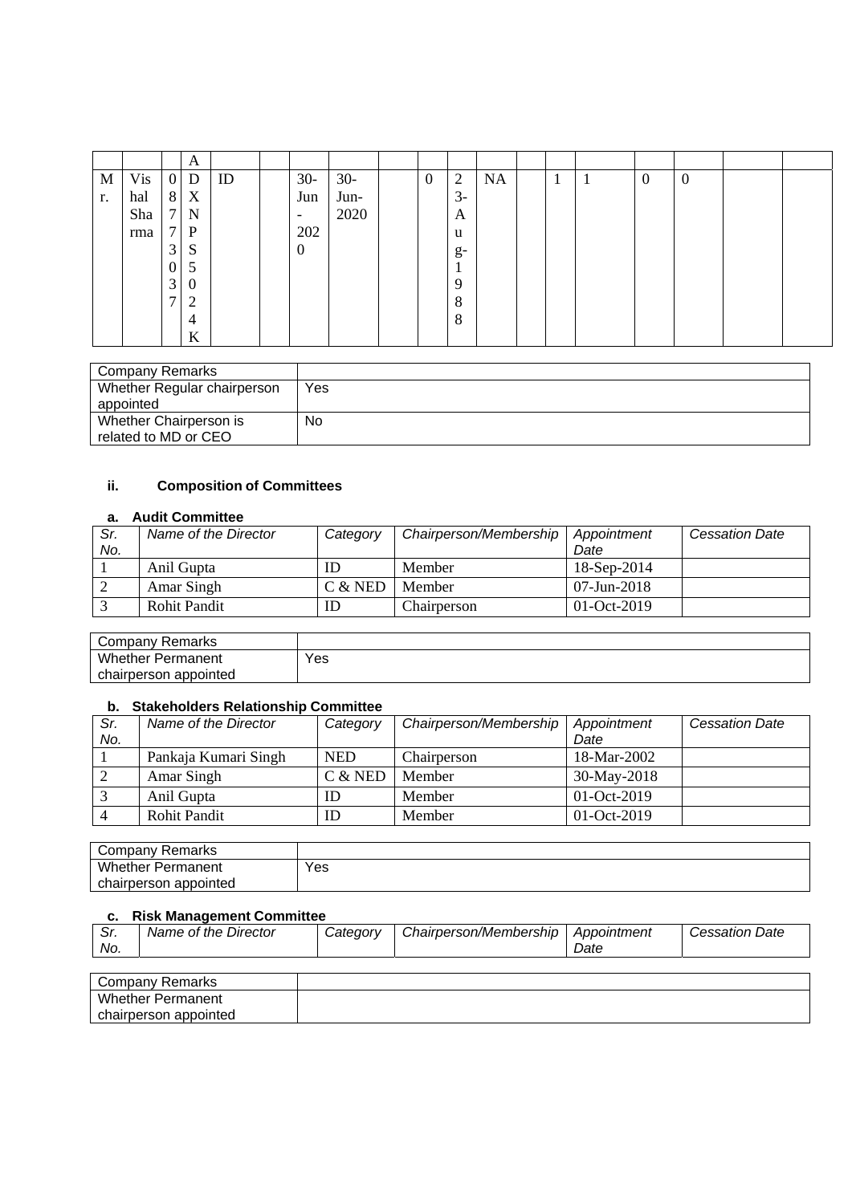|    |     |                | A        |    |                          |       |              |                |           |  |   |                  |                |  |
|----|-----|----------------|----------|----|--------------------------|-------|--------------|----------------|-----------|--|---|------------------|----------------|--|
| M  | Vis | $\overline{0}$ | D        | ID | $30-$                    | $30-$ | $\mathbf{0}$ | $\overline{2}$ | <b>NA</b> |  | л | $\boldsymbol{0}$ | $\overline{0}$ |  |
| r. | hal | 8              | X        |    | Jun                      | Jun-  |              | $3-$           |           |  |   |                  |                |  |
|    | Sha | 7              | N        |    | $\overline{\phantom{a}}$ | 2020  |              | A              |           |  |   |                  |                |  |
|    | rma | 7              | P        |    | 202                      |       |              | u              |           |  |   |                  |                |  |
|    |     | 3              | S        |    | $\theta$                 |       |              | $g-$           |           |  |   |                  |                |  |
|    |     | $\overline{0}$ | 5        |    |                          |       |              |                |           |  |   |                  |                |  |
|    |     | 3              | $\theta$ |    |                          |       |              | $\mathbf Q$    |           |  |   |                  |                |  |
|    |     | 7              | 2        |    |                          |       |              | 8              |           |  |   |                  |                |  |
|    |     |                | 4        |    |                          |       |              | 8              |           |  |   |                  |                |  |
|    |     |                | K        |    |                          |       |              |                |           |  |   |                  |                |  |

| Company Remarks             |     |
|-----------------------------|-----|
| Whether Regular chairperson | Yes |
| appointed                   |     |
| Whether Chairperson is      | No  |
| related to MD or CEO        |     |

# **ii. Composition of Committees**

#### **a. Audit Committee**

| Sr.<br>No. | Name of the Director | Category  | Chairperson/Membership | Appointment<br>Date | <b>Cessation Date</b> |
|------------|----------------------|-----------|------------------------|---------------------|-----------------------|
|            | Anil Gupta           | ΙD        | Member                 | 18-Sep-2014         |                       |
|            | Amar Singh           | $C &$ NED | Member                 | $07 - Jun - 2018$   |                       |
|            | <b>Rohit Pandit</b>  | ID        | Chairperson            | $01-Oct-2019$       |                       |

| Company<br>Remarks            |     |
|-------------------------------|-----|
| <b>Whether F</b><br>Permanent | Yes |
| chairperson appointed         |     |

#### **b. Stakeholders Relationship Committee**

| Sr. | Name of the Director | Category   | Chairperson/Membership | Appointment   | <b>Cessation Date</b> |
|-----|----------------------|------------|------------------------|---------------|-----------------------|
| No. |                      |            |                        | Date          |                       |
|     | Pankaja Kumari Singh | <b>NED</b> | Chairperson            | 18-Mar-2002   |                       |
|     | Amar Singh           | $C &$ NED  | Member                 | 30-May-2018   |                       |
|     | Anil Gupta           | ID         | Member                 | $01-Oct-2019$ |                       |
|     | <b>Rohit Pandit</b>  | ID         | Member                 | $01-Oct-2019$ |                       |

| Remarks<br>Company       |     |
|--------------------------|-----|
| <b>Whether Permanent</b> | Yes |
| appointed<br>chairperson |     |

#### **c. Risk Management Committee**

| . C.<br>. ات<br>No. | Name of the Director | Categorv | Chairperson/Membership | Appointment<br>Date | <b>Cessation Date</b> |
|---------------------|----------------------|----------|------------------------|---------------------|-----------------------|
|                     |                      |          |                        |                     |                       |

| Remarks<br>Company '              |  |
|-----------------------------------|--|
| <b>M/F</b><br>∩ether<br>Permanent |  |
| chairperson<br>appointed          |  |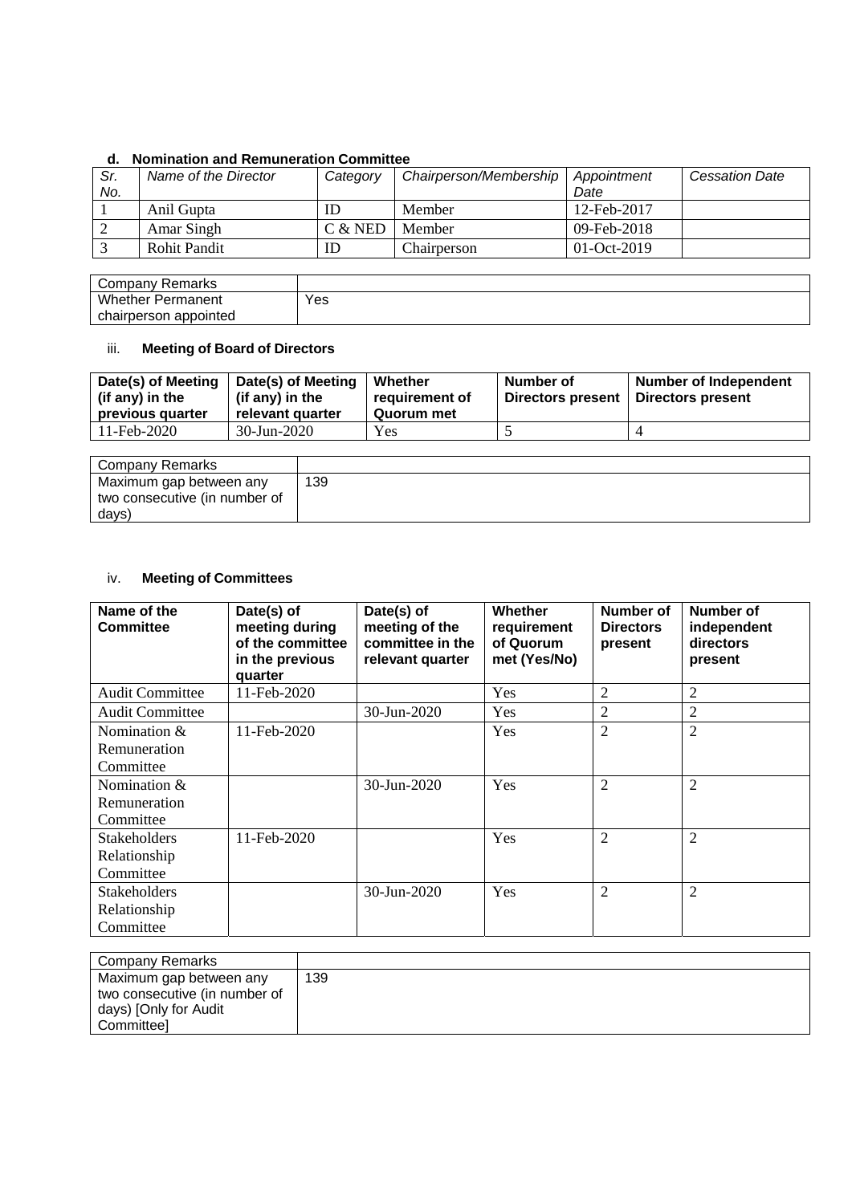| --         |                      |           |                        |                          |                       |
|------------|----------------------|-----------|------------------------|--------------------------|-----------------------|
| Sr.<br>No. | Name of the Director | Category  | Chairperson/Membership | Appointment<br>Date      | <b>Cessation Date</b> |
|            | Anil Gupta           |           | Member                 | 12-Feb-2017              |                       |
|            | Amar Singh           | $C &$ NED | Member                 | $09 - \text{Feb} - 2018$ |                       |
|            | <b>Rohit Pandit</b>  | ID        | Chairperson            | $01-Oct-2019$            |                       |

### **d. Nomination and Remuneration Committee**

| Company Remarks          |     |
|--------------------------|-----|
| <b>Whether Permanent</b> | Yes |
| chairperson appointed    |     |

## iii. **Meeting of Board of Directors**

| Date(s) of Meeting<br>(if any) in the<br>previous quarter | Date(s) of Meeting<br>(if any) in the<br>relevant quarter | Whether<br>requirement of<br>Quorum met | Number of<br><b>Directors present</b> | <b>Number of Independent</b><br>Directors present |
|-----------------------------------------------------------|-----------------------------------------------------------|-----------------------------------------|---------------------------------------|---------------------------------------------------|
| 11-Feb-2020                                               | 30-Jun-2020                                               | Yes                                     |                                       |                                                   |

| <b>Company Remarks</b>        |     |
|-------------------------------|-----|
| Maximum gap between any       | 139 |
| two consecutive (in number of |     |
| days)                         |     |

# iv. **Meeting of Committees**

| Name of the<br><b>Committee</b>                  | Date(s) of<br>meeting during<br>of the committee<br>in the previous<br>quarter | Date(s) of<br>meeting of the<br>committee in the<br>relevant quarter | Whether<br>requirement<br>of Quorum<br>met (Yes/No) | Number of<br><b>Directors</b><br>present | <b>Number of</b><br>independent<br>directors<br>present |
|--------------------------------------------------|--------------------------------------------------------------------------------|----------------------------------------------------------------------|-----------------------------------------------------|------------------------------------------|---------------------------------------------------------|
| <b>Audit Committee</b>                           | 11-Feb-2020                                                                    |                                                                      | Yes                                                 | $\overline{2}$                           | $\overline{2}$                                          |
| <b>Audit Committee</b>                           |                                                                                | 30-Jun-2020                                                          | Yes                                                 | 2                                        | $\overline{2}$                                          |
| Nomination &<br>Remuneration<br>Committee        | 11-Feb-2020                                                                    |                                                                      | Yes                                                 | $\overline{2}$                           | $\overline{2}$                                          |
| Nomination &<br>Remuneration<br>Committee        |                                                                                | 30-Jun-2020                                                          | Yes                                                 | $\overline{2}$                           | $\overline{2}$                                          |
| <b>Stakeholders</b><br>Relationship<br>Committee | 11-Feb-2020                                                                    |                                                                      | Yes                                                 | $\overline{2}$                           | $\overline{2}$                                          |
| <b>Stakeholders</b><br>Relationship<br>Committee |                                                                                | $30 - Jun - 2020$                                                    | Yes                                                 | $\overline{2}$                           | $\overline{2}$                                          |

| Company Remarks               |     |
|-------------------------------|-----|
| Maximum gap between any       | 139 |
| two consecutive (in number of |     |
| days) [Only for Audit         |     |
| Committeel                    |     |